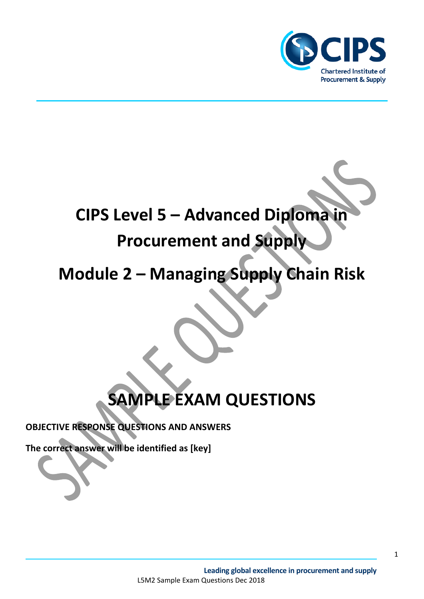

# **CIPS Level 5 – Advanced Diploma in Procurement and Supply**

**Module 2 – Managing Supply Chain Risk**

## **SAMPLE EXAM QUESTIONS**

**OBJECTIVE RESPONSE QUESTIONS AND ANSWERS**

**The correct answer will be identified as [key]**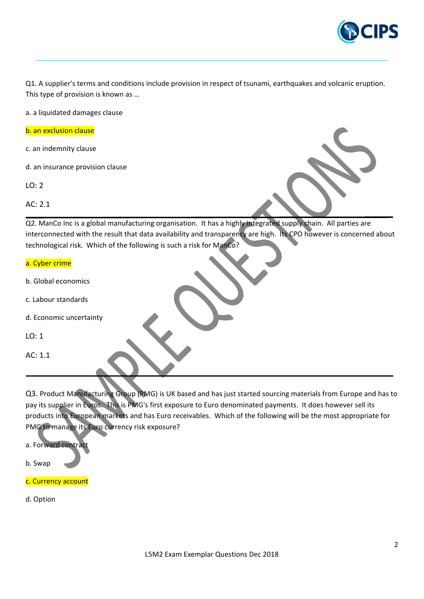

Q1. A supplier's terms and conditions include provision in respect of tsunami, earthquakes and volcanic eruption. This type of provision is known as …

a. a liquidated damages clause

b. an exclusion clause

c. an indemnity clause

d. an insurance provision clause

LO: 2

AC: 2.1

Q2. ManCo Inc is a global manufacturing organisation. It has a highly integrated supply chain. All parties are interconnected with the result that data availability and transparency are high. Its CPO however is concerned about technological risk. Which of the following is such a risk for ManCo?

#### a. Cyber crime

- b. Global economics
- c. Labour standards
- d. Economic uncertainty
- $LO: 1$
- AC: 1.1

Q3. Product Manufacturing Group (PMG) is UK based and has just started sourcing materials from Europe and has to pay its supplier in Euros. This is PMG's first exposure to Euro denominated payments. It does however sell its products into European markets and has Euro receivables. Which of the following will be the most appropriate for PMG to manage its Euro currency risk exposure?

a. Forward contract b. Swap

c. Currency account

d. Option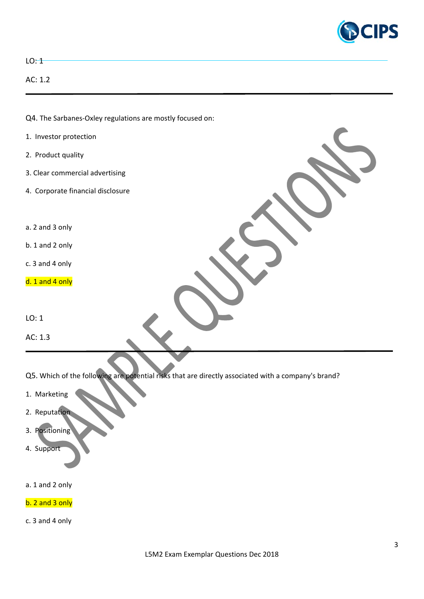

3

| $LO:$ $+$                                                                                           |  |
|-----------------------------------------------------------------------------------------------------|--|
| AC: 1.2                                                                                             |  |
|                                                                                                     |  |
| Q4. The Sarbanes-Oxley regulations are mostly focused on:                                           |  |
| 1. Investor protection                                                                              |  |
| 2. Product quality                                                                                  |  |
| 3. Clear commercial advertising                                                                     |  |
| 4. Corporate financial disclosure                                                                   |  |
|                                                                                                     |  |
| a. 2 and 3 only                                                                                     |  |
| b. 1 and 2 only                                                                                     |  |
| c. 3 and 4 only                                                                                     |  |
| d. 1 and 4 only                                                                                     |  |
|                                                                                                     |  |
| LO: 1                                                                                               |  |
| AC: 1.3                                                                                             |  |
|                                                                                                     |  |
| Q5. Which of the following are potential risks that are directly associated with a company's brand? |  |
| 1. Marketing                                                                                        |  |
| 2. Reputation                                                                                       |  |
| 3. Positioning                                                                                      |  |
| 4. Support                                                                                          |  |

- a. 1 and 2 only
- b. 2 and 3 only
- c. 3 and 4 only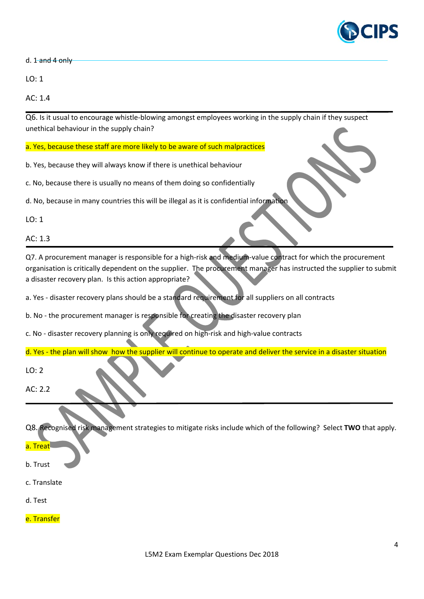

d. 1 and 4 only

LO: 1

AC: 1.4

Q6. Is it usual to encourage whistle-blowing amongst employees working in the supply chain if they suspect unethical behaviour in the supply chain?

a. Yes, because these staff are more likely to be aware of such malpractices

b. Yes, because they will always know if there is unethical behaviour

c. No, because there is usually no means of them doing so confidentially

d. No, because in many countries this will be illegal as it is confidential information

LO: 1

AC: 1.3

Q7. A procurement manager is responsible for a high-risk and medium-value contract for which the procurement organisation is critically dependent on the supplier. The procurement manager has instructed the supplier to submit a disaster recovery plan. Is this action appropriate?

a. Yes - disaster recovery plans should be a standard requirement for all suppliers on all contracts

b. No - the procurement manager is responsible for creating the disaster recovery plan

c. No - disaster recovery planning is only required on high-risk and high-value contracts

d. Yes - the plan will show how the supplier will continue to operate and deliver the service in a disaster situation

 $LO: 2$ 

AC: 2.2

Q8. Recognised risk management strategies to mitigate risks include which of the following? Select **TWO** that apply.

#### a. Treat

- b. Trust
- c. Translate
- d. Test
- e. Transfer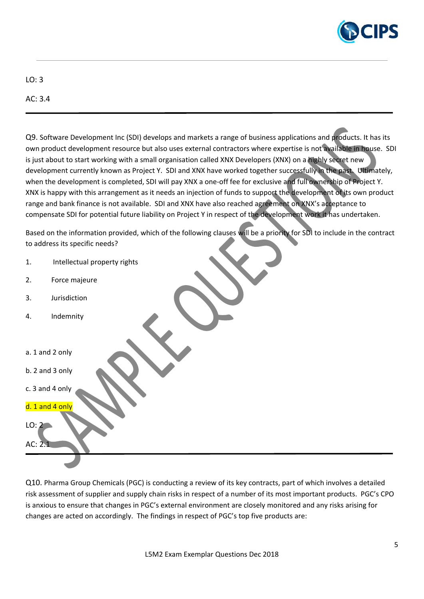

LO: 3

AC: 3.4

Q9. Software Development Inc (SDI) develops and markets a range of business applications and products. It has its own product development resource but also uses external contractors where expertise is not available in house. SDI is just about to start working with a small organisation called XNX Developers (XNX) on a highly secret new development currently known as Project Y. SDI and XNX have worked together successfully in the past. Ultimately, when the development is completed, SDI will pay XNX a one-off fee for exclusive and full ownership of Project Y. XNX is happy with this arrangement as it needs an injection of funds to support the development of its own product range and bank finance is not available. SDI and XNX have also reached agreement on XNX's acceptance to compensate SDI for potential future liability on Project Y in respect of the development work it has undertaken.

Based on the information provided, which of the following clauses will be a priority for SDI to include in the contract to address its specific needs?

| 1.              | Intellectual property rights |  |  |  |  |
|-----------------|------------------------------|--|--|--|--|
| 2.              | Force majeure                |  |  |  |  |
| 3.              | Jurisdiction                 |  |  |  |  |
| 4.              | Indemnity                    |  |  |  |  |
|                 |                              |  |  |  |  |
| a. 1 and 2 only |                              |  |  |  |  |
| b. 2 and 3 only |                              |  |  |  |  |
| c. 3 and 4 only |                              |  |  |  |  |
| d. 1 and 4 only |                              |  |  |  |  |
| LO: 2           |                              |  |  |  |  |
| AC: 2.1         |                              |  |  |  |  |
|                 |                              |  |  |  |  |

Q10. Pharma Group Chemicals (PGC) is conducting a review of its key contracts, part of which involves a detailed risk assessment of supplier and supply chain risks in respect of a number of its most important products. PGC's CPO is anxious to ensure that changes in PGC's external environment are closely monitored and any risks arising for changes are acted on accordingly. The findings in respect of PGC's top five products are: